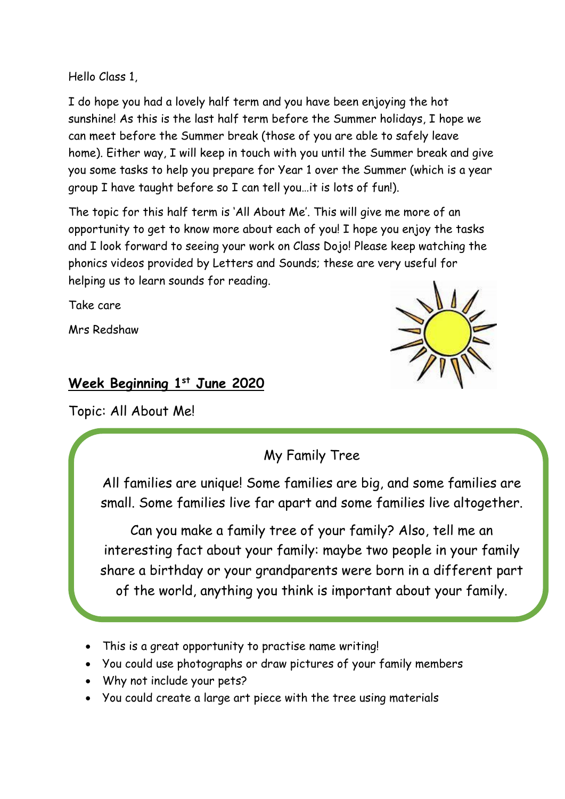Hello Class 1,

I do hope you had a lovely half term and you have been enjoying the hot sunshine! As this is the last half term before the Summer holidays, I hope we can meet before the Summer break (those of you are able to safely leave home). Either way, I will keep in touch with you until the Summer break and give you some tasks to help you prepare for Year 1 over the Summer (which is a year group I have taught before so I can tell you…it is lots of fun!).

The topic for this half term is 'All About Me'. This will give me more of an opportunity to get to know more about each of you! I hope you enjoy the tasks and I look forward to seeing your work on Class Dojo! Please keep watching the phonics videos provided by Letters and Sounds; these are very useful for helping us to learn sounds for reading.

Take care

Mrs Redshaw

### **Week Beginning 1 st June 2020**

Topic: All About Me!

### My Family Tree

All families are unique! Some families are big, and some families are small. Some families live far apart and some families live altogether.

Can you make a family tree of your family? Also, tell me an interesting fact about your family: maybe two people in your family share a birthday or your grandparents were born in a different part of the world, anything you think is important about your family.

- This is a great opportunity to practise name writing!
- You could use photographs or draw pictures of your family members
- Why not include your pets?
- You could create a large art piece with the tree using materials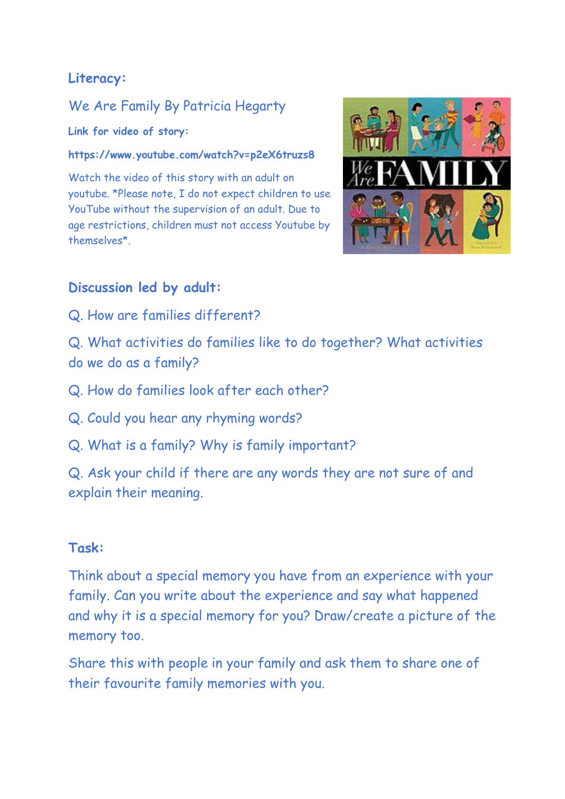# **Literacy:**

# We Are Family By Patricia Hegarty

**Link for video of story:** 

#### **https://www.youtube.com/watch?v=p2eX6truzs8**

Watch the video of this story with an adult on youtube. \*Please note, I do not expect children to use YouTube without the supervision of an adult. Due to age restrictions, children must not access Youtube by themselves\*.



### **Discussion led by adult:**

- Q. How are families different?
- Q. What activities do families like to do together? What activities do we do as a family?
- Q. How do families look after each other?
- Q. Could you hear any rhyming words?
- Q. What is a family? Why is family important?

Q. Ask your child if there are any words they are not sure of and explain their meaning.

#### **Task:**

Think about a special memory you have from an experience with your family. Can you write about the experience and say what happened and why it is a special memory for you? Draw/create a picture of the memory too.

Share this with people in your family and ask them to share one of their favourite family memories with you.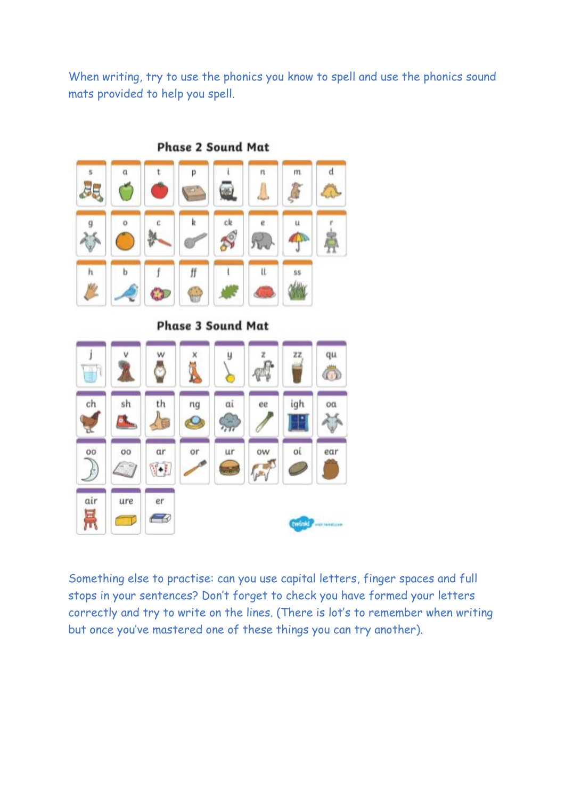When writing, try to use the phonics you know to spell and use the phonics sound mats provided to help you spell.



**Phase 2 Sound Mat** 

**Phase 3 Sound Mat** 



Something else to practise: can you use capital letters, finger spaces and full stops in your sentences? Don't forget to check you have formed your letters correctly and try to write on the lines. (There is lot's to remember when writing but once you've mastered one of these things you can try another).